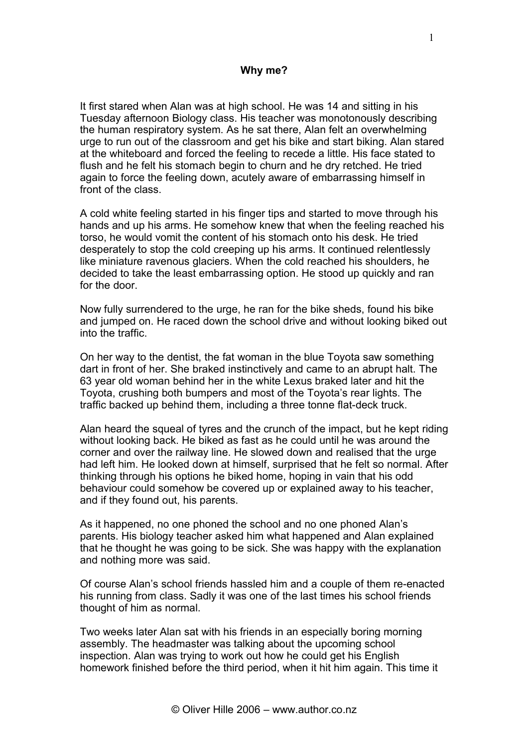## **Why me?**

It first stared when Alan was at high school. He was 14 and sitting in his Tuesday afternoon Biology class. His teacher was monotonously describing the human respiratory system. As he sat there, Alan felt an overwhelming urge to run out of the classroom and get his bike and start biking. Alan stared at the whiteboard and forced the feeling to recede a little. His face stated to flush and he felt his stomach begin to churn and he dry retched. He tried again to force the feeling down, acutely aware of embarrassing himself in front of the class.

A cold white feeling started in his finger tips and started to move through his hands and up his arms. He somehow knew that when the feeling reached his torso, he would vomit the content of his stomach onto his desk. He tried desperately to stop the cold creeping up his arms. It continued relentlessly like miniature ravenous glaciers. When the cold reached his shoulders, he decided to take the least embarrassing option. He stood up quickly and ran for the door.

Now fully surrendered to the urge, he ran for the bike sheds, found his bike and jumped on. He raced down the school drive and without looking biked out into the traffic.

On her way to the dentist, the fat woman in the blue Toyota saw something dart in front of her. She braked instinctively and came to an abrupt halt. The 63 year old woman behind her in the white Lexus braked later and hit the Toyota, crushing both bumpers and most of the Toyota's rear lights. The traffic backed up behind them, including a three tonne flat-deck truck.

Alan heard the squeal of tyres and the crunch of the impact, but he kept riding without looking back. He biked as fast as he could until he was around the corner and over the railway line. He slowed down and realised that the urge had left him. He looked down at himself, surprised that he felt so normal. After thinking through his options he biked home, hoping in vain that his odd behaviour could somehow be covered up or explained away to his teacher, and if they found out, his parents.

As it happened, no one phoned the school and no one phoned Alan's parents. His biology teacher asked him what happened and Alan explained that he thought he was going to be sick. She was happy with the explanation and nothing more was said.

Of course Alan's school friends hassled him and a couple of them re-enacted his running from class. Sadly it was one of the last times his school friends thought of him as normal.

Two weeks later Alan sat with his friends in an especially boring morning assembly. The headmaster was talking about the upcoming school inspection. Alan was trying to work out how he could get his English homework finished before the third period, when it hit him again. This time it